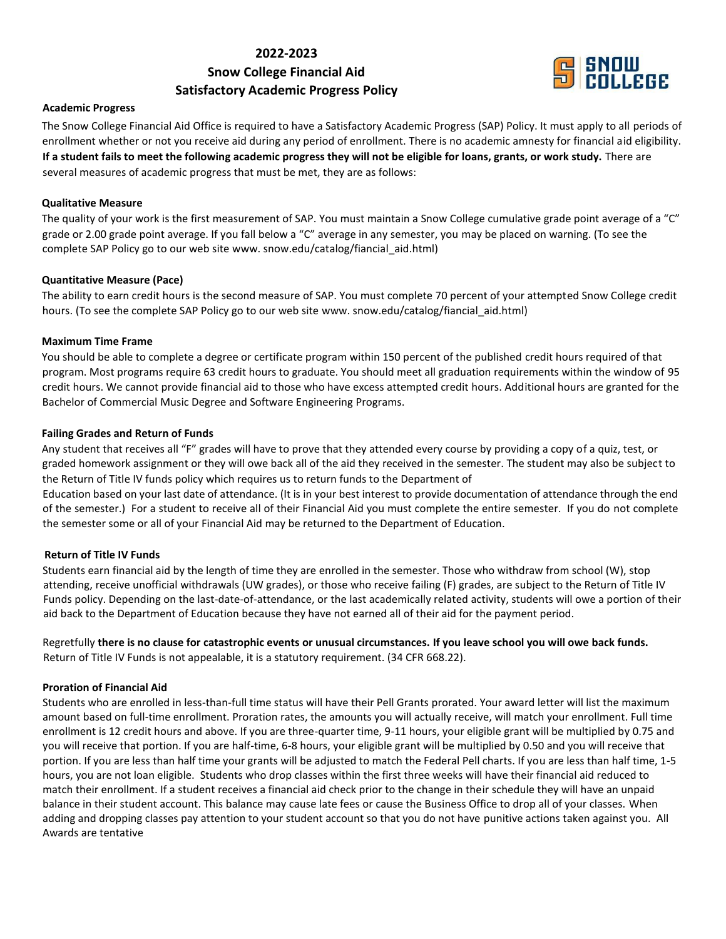## **2022-2023**

# **Snow College Financial Aid Satisfactory Academic Progress Policy**



## **Academic Progress**

The Snow College Financial Aid Office is required to have a Satisfactory Academic Progress (SAP) Policy. It must apply to all periods of enrollment whether or not you receive aid during any period of enrollment. There is no academic amnesty for financial aid eligibility. **If a student fails to meet the following academic progress they will not be eligible for loans, grants, or work study.** There are several measures of academic progress that must be met, they are as follows:

## **Qualitative Measure**

The quality of your work is the first measurement of SAP. You must maintain a Snow College cumulative grade point average of a "C" grade or 2.00 grade point average. If you fall below a "C" average in any semester, you may be placed on warning. (To see the complete SAP Policy go to our web site www. snow.edu/catalog/fiancial\_aid.html)

## **Quantitative Measure (Pace)**

The ability to earn credit hours is the second measure of SAP. You must complete 70 percent of your attempted Snow College credit hours. (To see the complete SAP Policy go to our web site www. snow.edu/catalog/fiancial\_aid.html)

## **Maximum Time Frame**

You should be able to complete a degree or certificate program within 150 percent of the published credit hours required of that program. Most programs require 63 credit hours to graduate. You should meet all graduation requirements within the window of 95 credit hours. We cannot provide financial aid to those who have excess attempted credit hours. Additional hours are granted for the Bachelor of Commercial Music Degree and Software Engineering Programs.

## **Failing Grades and Return of Funds**

Any student that receives all "F" grades will have to prove that they attended every course by providing a copy of a quiz, test, or graded homework assignment or they will owe back all of the aid they received in the semester. The student may also be subject to the Return of Title IV funds policy which requires us to return funds to the Department of

Education based on your last date of attendance. (It is in your best interest to provide documentation of attendance through the end of the semester.) For a student to receive all of their Financial Aid you must complete the entire semester. If you do not complete the semester some or all of your Financial Aid may be returned to the Department of Education.

## **Return of Title IV Funds**

Students earn financial aid by the length of time they are enrolled in the semester. Those who withdraw from school (W), stop attending, receive unofficial withdrawals (UW grades), or those who receive failing (F) grades, are subject to the Return of Title IV Funds policy. Depending on the last-date-of-attendance, or the last academically related activity, students will owe a portion of their aid back to the Department of Education because they have not earned all of their aid for the payment period.

Regretfully **there is no clause for catastrophic events or unusual circumstances. If you leave school you will owe back funds.** Return of Title IV Funds is not appealable, it is a statutory requirement. (34 CFR 668.22).

## **Proration of Financial Aid**

Students who are enrolled in less-than-full time status will have their Pell Grants prorated. Your award letter will list the maximum amount based on full-time enrollment. Proration rates, the amounts you will actually receive, will match your enrollment. Full time enrollment is 12 credit hours and above. If you are three-quarter time, 9-11 hours, your eligible grant will be multiplied by 0.75 and you will receive that portion. If you are half-time, 6-8 hours, your eligible grant will be multiplied by 0.50 and you will receive that portion. If you are less than half time your grants will be adjusted to match the Federal Pell charts. If you are less than half time, 1-5 hours, you are not loan eligible. Students who drop classes within the first three weeks will have their financial aid reduced to match their enrollment. If a student receives a financial aid check prior to the change in their schedule they will have an unpaid balance in their student account. This balance may cause late fees or cause the Business Office to drop all of your classes. When adding and dropping classes pay attention to your student account so that you do not have punitive actions taken against you. All Awards are tentative